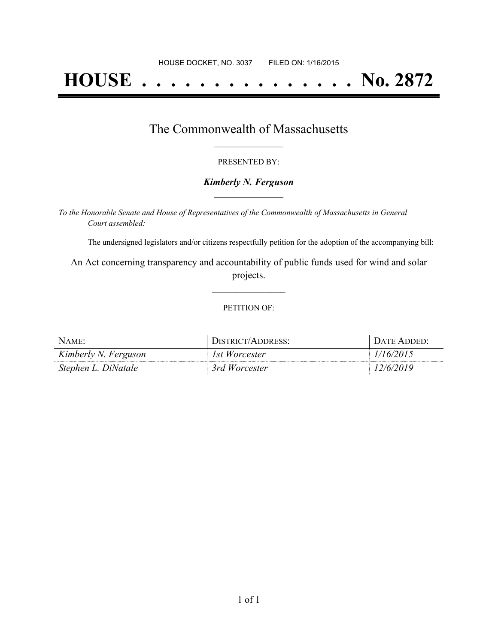# **HOUSE . . . . . . . . . . . . . . . No. 2872**

### The Commonwealth of Massachusetts **\_\_\_\_\_\_\_\_\_\_\_\_\_\_\_\_\_**

#### PRESENTED BY:

#### *Kimberly N. Ferguson* **\_\_\_\_\_\_\_\_\_\_\_\_\_\_\_\_\_**

*To the Honorable Senate and House of Representatives of the Commonwealth of Massachusetts in General Court assembled:*

The undersigned legislators and/or citizens respectfully petition for the adoption of the accompanying bill:

An Act concerning transparency and accountability of public funds used for wind and solar projects.

**\_\_\_\_\_\_\_\_\_\_\_\_\_\_\_**

#### PETITION OF:

| NAME:                | <b>DISTRICT/ADDRESS:</b> | DATE ADDED: |
|----------------------|--------------------------|-------------|
| Kimberly N. Ferguson | 1st Worcester            | 1/16/2015   |
| Stephen L. DiNatale  | 3rd Worcester            | 2/6/2019    |